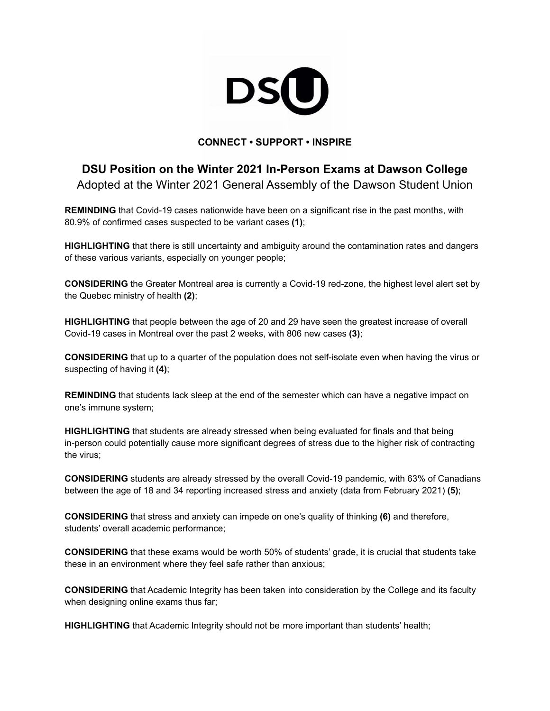

## **CONNECT • SUPPORT • INSPIRE**

## **DSU Position on the Winter 2021 In-Person Exams at Dawson College** Adopted at the Winter 2021 General Assembly of the Dawson Student Union

**REMINDING** that Covid-19 cases nationwide have been on a significant rise in the past months, with 80.9% of confirmed cases suspected to be variant cases **(1)**;

**HIGHLIGHTING** that there is still uncertainty and ambiguity around the contamination rates and dangers of these various variants, especially on younger people;

**CONSIDERING** the Greater Montreal area is currently a Covid-19 red-zone, the highest level alert set by the Quebec ministry of health **(2)**;

**HIGHLIGHTING** that people between the age of 20 and 29 have seen the greatest increase of overall Covid-19 cases in Montreal over the past 2 weeks, with 806 new cases **(3)**;

**CONSIDERING** that up to a quarter of the population does not self-isolate even when having the virus or suspecting of having it **(4)**;

**REMINDING** that students lack sleep at the end of the semester which can have a negative impact on one's immune system;

**HIGHLIGHTING** that students are already stressed when being evaluated for finals and that being in-person could potentially cause more significant degrees of stress due to the higher risk of contracting the virus;

**CONSIDERING** students are already stressed by the overall Covid-19 pandemic, with 63% of Canadians between the age of 18 and 34 reporting increased stress and anxiety (data from February 2021) **(5)**;

**CONSIDERING** that stress and anxiety can impede on one's quality of thinking **(6)** and therefore, students' overall academic performance;

**CONSIDERING** that these exams would be worth 50% of students' grade, it is crucial that students take these in an environment where they feel safe rather than anxious;

**CONSIDERING** that Academic Integrity has been taken into consideration by the College and its faculty when designing online exams thus far;

**HIGHLIGHTING** that Academic Integrity should not be more important than students' health;